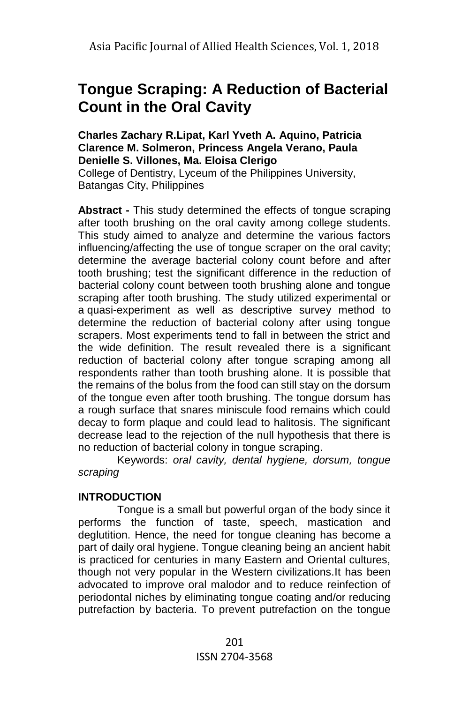# **Tongue Scraping: A Reduction of Bacterial Count in the Oral Cavity**

#### **Charles Zachary R.Lipat, Karl Yveth A. Aquino, Patricia Clarence M. Solmeron, Princess Angela Verano, Paula Denielle S. Villones, Ma. Eloisa Clerigo**

College of Dentistry, Lyceum of the Philippines University, Batangas City, Philippines

**Abstract -** This study determined the effects of tongue scraping after tooth brushing on the oral cavity among college students. This study aimed to analyze and determine the various factors influencing/affecting the use of tongue scraper on the oral cavity; determine the average bacterial colony count before and after tooth brushing; test the significant difference in the reduction of bacterial colony count between tooth brushing alone and tongue scraping after tooth brushing. The study utilized experimental or a [quasi-experiment](https://explorable.com/quasi-experimental-design) as well as descriptive survey method to determine the reduction of bacterial colony after using tongue scrapers. Most experiments tend to fall in between the strict and the wide definition. The result revealed there is a significant reduction of bacterial colony after tongue scraping among all respondents rather than tooth brushing alone. It is possible that the remains of the bolus from the food can still stay on the dorsum of the tongue even after tooth brushing. The tongue dorsum has a rough surface that snares miniscule food remains which could decay to form plaque and could lead to halitosis. The significant decrease lead to the rejection of the null hypothesis that there is no reduction of bacterial colony in tongue scraping.

Keywords: *oral cavity, dental hygiene, dorsum, tongue scraping*

# **INTRODUCTION**

Tongue is a small but powerful organ of the body since it performs the function of taste, speech, mastication and deglutition. Hence, the need for tongue cleaning has become a part of daily oral hygiene. Tongue cleaning being an ancient habit is practiced for centuries in many Eastern and Oriental cultures, though not very popular in the Western civilizations.It has been advocated to improve oral malodor and to reduce reinfection of periodontal niches by eliminating tongue coating and/or reducing putrefaction by bacteria. To prevent putrefaction on the tongue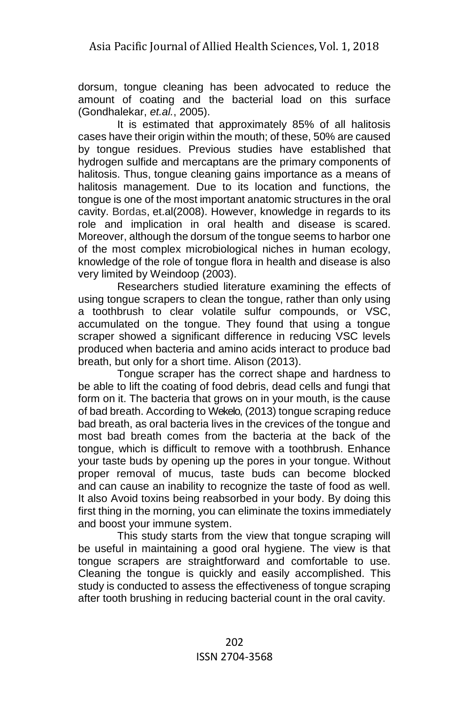dorsum, tongue cleaning has been advocated to reduce the amount of coating and the bacterial load on this surface (Gondhalekar, *et.al.*, 2005).

It is estimated that approximately 85% of all halitosis cases have their origin within the mouth; of these, 50% are caused by tongue residues. Previous studies have established that hydrogen sulfide and mercaptans are the primary components of halitosis. Thus, tongue cleaning gains importance as a means of halitosis management. Due to its location and functions, the tongue is one of the most important anatomic structures in the oral cavity. Bordas, et.al(2008). However, knowledge in regards to its role and implication in oral health and disease is scared. Moreover, although the dorsum of the tongue seems to harbor one of the most complex microbiological niches in human ecology, knowledge of the role of tongue flora in health and disease is also very limited by Weindoop (2003).

Researchers studied literature examining the effects of using tongue scrapers to clean the tongue, rather than only using a toothbrush to clear volatile sulfur compounds, or VSC, accumulated on the tongue. They found that using a tongue scraper showed a significant difference in reducing VSC levels produced when bacteria and amino acids interact to produce bad breath, but only for a short time. Alison (2013).

Tongue scraper has the correct shape and hardness to be able to lift the coating of food debris, dead cells and fungi that form on it. The bacteria that grows on in your mouth, is the cause of bad breath. According to Wekelo, (2013) tongue scraping reduce bad breath, as oral bacteria lives in the crevices of the tongue and most bad breath comes from the bacteria at the back of the tongue, which is difficult to remove with a toothbrush. Enhance your taste buds by opening up the pores in your tongue. Without proper removal of mucus, taste buds can become blocked and can cause an inability to recognize the taste of food as well. It also Avoid toxins being reabsorbed in your body. By doing this first thing in the morning, you can eliminate the toxins immediately and boost your immune system.

This study starts from the view that tongue scraping will be useful in maintaining a good oral hygiene. The view is that tongue scrapers are straightforward and comfortable to use. Cleaning the tongue is quickly and easily accomplished. This study is conducted to assess the effectiveness of tongue scraping after tooth brushing in reducing bacterial count in the oral cavity.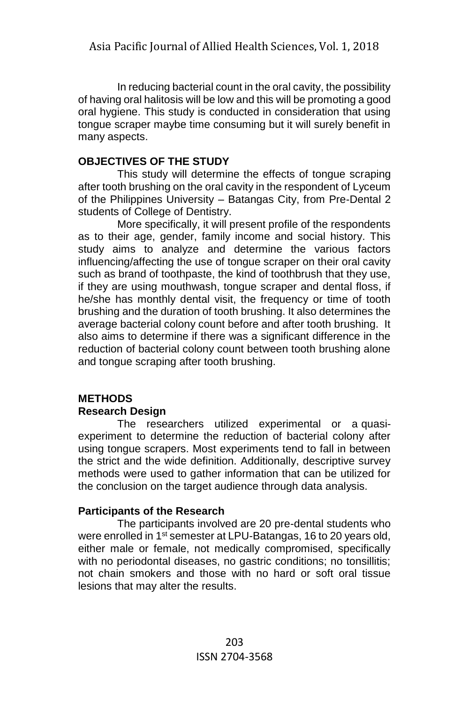In reducing bacterial count in the oral cavity, the possibility of having oral halitosis will be low and this will be promoting a good oral hygiene. This study is conducted in consideration that using tongue scraper maybe time consuming but it will surely benefit in many aspects.

# **OBJECTIVES OF THE STUDY**

This study will determine the effects of tongue scraping after tooth brushing on the oral cavity in the respondent of Lyceum of the Philippines University – Batangas City, from Pre-Dental 2 students of College of Dentistry.

More specifically, it will present profile of the respondents as to their age, gender, family income and social history. This study aims to analyze and determine the various factors influencing/affecting the use of tongue scraper on their oral cavity such as brand of toothpaste, the kind of toothbrush that they use, if they are using mouthwash, tongue scraper and dental floss, if he/she has monthly dental visit, the frequency or time of tooth brushing and the duration of tooth brushing. It also determines the average bacterial colony count before and after tooth brushing. It also aims to determine if there was a significant difference in the reduction of bacterial colony count between tooth brushing alone and tongue scraping after tooth brushing.

# **METHODS**

# **Research Design**

The researchers utilized experimental or a quasiexperiment to determine the reduction of bacterial colony after using tongue scrapers. Most experiments tend to fall in between the strict and the wide definition. Additionally, descriptive survey methods were used to gather information that can be utilized for the conclusion on the target audience through data analysis.

# **Participants of the Research**

The participants involved are 20 pre-dental students who were enrolled in 1<sup>st</sup> semester at LPU-Batangas, 16 to 20 years old, either male or female, not medically compromised, specifically with no periodontal diseases, no gastric conditions; no tonsillitis; not chain smokers and those with no hard or soft oral tissue lesions that may alter the results.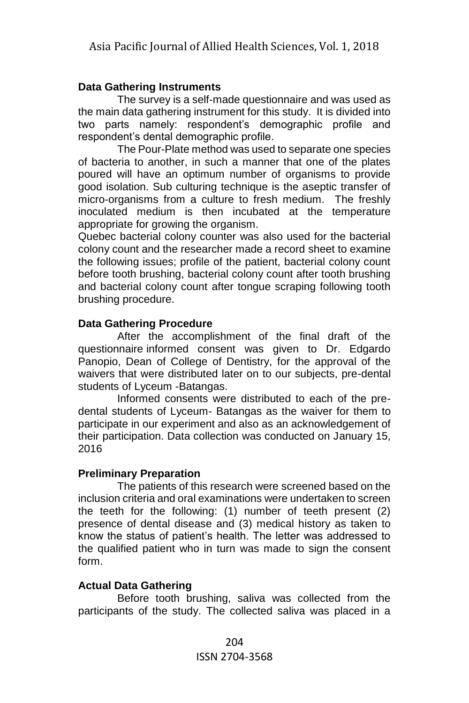# **Data Gathering Instruments**

The survey is a self-made questionnaire and was used as the main data gathering instrument for this study. It is divided into two parts namely: respondent's demographic profile and respondent's dental demographic profile.

The Pour-Plate method was used to separate one species of bacteria to another, in such a manner that one of the plates poured will have an optimum number of organisms to provide good isolation. Sub culturing technique is the aseptic transfer of micro-organisms from a culture to fresh medium. The freshly inoculated medium is then incubated at the temperature appropriate for growing the organism.

Quebec bacterial colony counter was also used for the bacterial colony count and the researcher made a record sheet to examine the following issues; profile of the patient, bacterial colony count before tooth brushing, bacterial colony count after tooth brushing and bacterial colony count after tongue scraping following tooth brushing procedure.

# **Data Gathering Procedure**

After the accomplishment of the final draft of the questionnaire informed consent was given to Dr. Edgardo Panopio, Dean of College of Dentistry, for the approval of the waivers that were distributed later on to our subjects, pre-dental students of Lyceum -Batangas.

Informed consents were distributed to each of the predental students of Lyceum- Batangas as the waiver for them to participate in our experiment and also as an acknowledgement of their participation. Data collection was conducted on January 15, 2016

# **Preliminary Preparation**

The patients of this research were screened based on the inclusion criteria and oral examinations were undertaken to screen the teeth for the following: (1) number of teeth present (2) presence of dental disease and (3) medical history as taken to know the status of patient's health. The letter was addressed to the qualified patient who in turn was made to sign the consent form.

# **Actual Data Gathering**

Before tooth brushing, saliva was collected from the participants of the study. The collected saliva was placed in a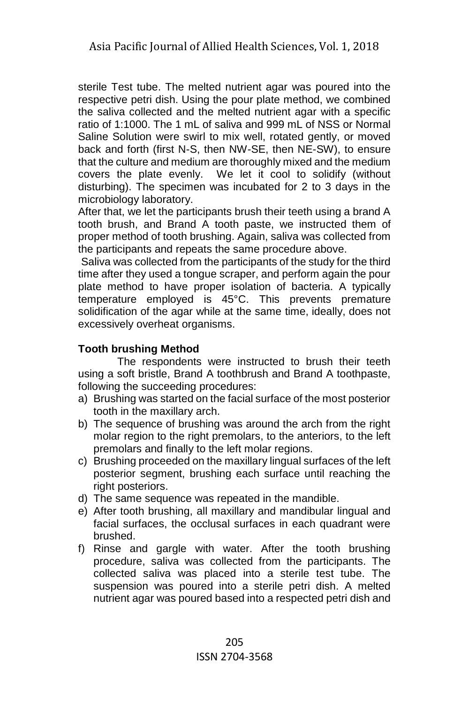sterile Test tube. The melted nutrient agar was poured into the respective petri dish. Using the pour plate method, we combined the saliva collected and the melted nutrient agar with a specific ratio of 1:1000. The 1 mL of saliva and 999 mL of NSS or Normal Saline Solution were swirl to mix well, rotated gently, or moved back and forth (first N-S, then NW-SE, then NE-SW), to ensure that the culture and medium are thoroughly mixed and the medium covers the plate evenly. We let it cool to solidify (without disturbing). The specimen was incubated for 2 to 3 days in the microbiology laboratory.

After that, we let the participants brush their teeth using a brand A tooth brush, and Brand A tooth paste, we instructed them of proper method of tooth brushing. Again, saliva was collected from the participants and repeats the same procedure above.

Saliva was collected from the participants of the study for the third time after they used a tongue scraper, and perform again the pour plate method to have proper isolation of bacteria. A typically temperature employed is 45[°C.](http://en.wikipedia.org/wiki/Centigrade) This prevents premature solidification of the agar while at the same time, ideally, does not excessively overheat organisms.

# **Tooth brushing Method**

The respondents were instructed to brush their teeth using a soft bristle, Brand A toothbrush and Brand A toothpaste, following the succeeding procedures:

- a) Brushing was started on the facial surface of the most posterior tooth in the maxillary arch.
- b) The sequence of brushing was around the arch from the right molar region to the right premolars, to the anteriors, to the left premolars and finally to the left molar regions.
- c) Brushing proceeded on the maxillary lingual surfaces of the left posterior segment, brushing each surface until reaching the right posteriors.
- d) The same sequence was repeated in the mandible.
- e) After tooth brushing, all maxillary and mandibular lingual and facial surfaces, the occlusal surfaces in each quadrant were brushed.
- f) Rinse and gargle with water. After the tooth brushing procedure, saliva was collected from the participants. The collected saliva was placed into a sterile test tube. The suspension was poured into a sterile petri dish. A melted nutrient agar was poured based into a respected petri dish and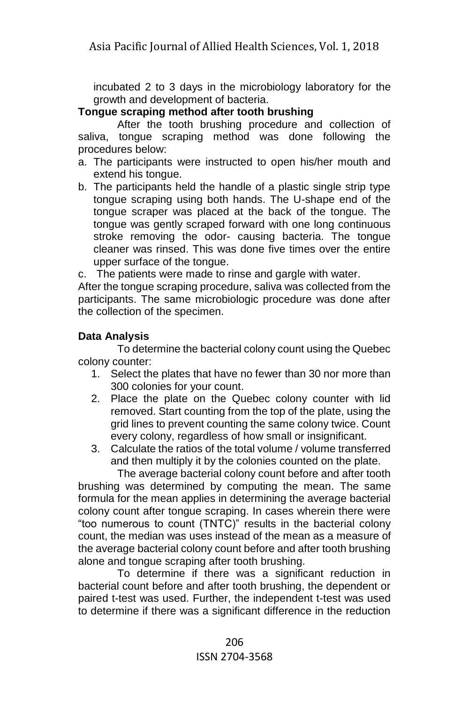incubated 2 to 3 days in the microbiology laboratory for the growth and development of bacteria.

# **Tongue scraping method after tooth brushing**

After the tooth brushing procedure and collection of saliva, tongue scraping method was done following the procedures below:

- a. The participants were instructed to open his/her mouth and extend his tongue.
- b. The participants held the handle of a plastic single strip type tongue scraping using both hands. The U-shape end of the tongue scraper was placed at the back of the tongue. The tongue was gently scraped forward with one long continuous stroke removing the odor- causing bacteria. The tongue cleaner was rinsed. This was done five times over the entire upper surface of the tongue.

c. The patients were made to rinse and gargle with water.

After the tongue scraping procedure, saliva was collected from the participants. The same microbiologic procedure was done after the collection of the specimen.

# **Data Analysis**

To determine the bacterial colony count using the Quebec colony counter:

- 1. Select the plates that have no fewer than 30 nor more than 300 colonies for your count.
- 2. Place the plate on the Quebec colony counter with lid removed. Start counting from the top of the plate, using the grid lines to prevent counting the same colony twice. Count every colony, regardless of how small or insignificant.
- 3. Calculate the ratios of the total volume / volume transferred and then multiply it by the colonies counted on the plate.

The average bacterial colony count before and after tooth brushing was determined by computing the mean. The same formula for the mean applies in determining the average bacterial colony count after tongue scraping. In cases wherein there were "too numerous to count (TNTC)" results in the bacterial colony count, the median was uses instead of the mean as a measure of the average bacterial colony count before and after tooth brushing alone and tongue scraping after tooth brushing.

To determine if there was a significant reduction in bacterial count before and after tooth brushing, the dependent or paired t-test was used. Further, the independent t-test was used to determine if there was a significant difference in the reduction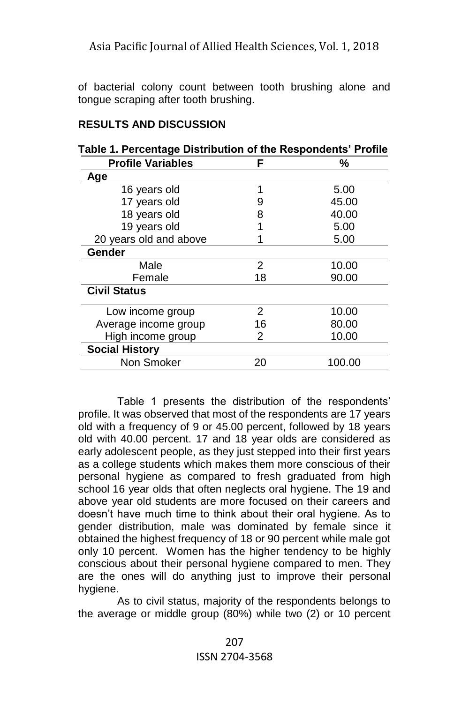of bacterial colony count between tooth brushing alone and tongue scraping after tooth brushing.

# **RESULTS AND DISCUSSION**

| Table 1. Percentage Distribution of the Respondents' Profile |    |        |  |
|--------------------------------------------------------------|----|--------|--|
| <b>Profile Variables</b>                                     | F  | %      |  |
| Age                                                          |    |        |  |
| 16 years old                                                 | 1  | 5.00   |  |
| 17 years old                                                 | 9  | 45.00  |  |
| 18 years old                                                 | 8  | 40.00  |  |
| 19 years old                                                 |    | 5.00   |  |
| 20 years old and above                                       |    | 5.00   |  |
| Gender                                                       |    |        |  |
| Male                                                         | 2  | 10.00  |  |
| Female                                                       | 18 | 90.00  |  |
| <b>Civil Status</b>                                          |    |        |  |
| Low income group                                             | 2  | 10.00  |  |
| Average income group                                         | 16 | 80.00  |  |
| High income group                                            | 2  | 10.00  |  |
| <b>Social History</b>                                        |    |        |  |
| Non Smoker                                                   | 20 | 100.00 |  |

# **Table 1. Percentage Distribution of the Respondents' Profile**

Table 1 presents the distribution of the respondents' profile. It was observed that most of the respondents are 17 years old with a frequency of 9 or 45.00 percent, followed by 18 years old with 40.00 percent. 17 and 18 year olds are considered as early adolescent people, as they just stepped into their first years as a college students which makes them more conscious of their personal hygiene as compared to fresh graduated from high school 16 year olds that often neglects oral hygiene. The 19 and above year old students are more focused on their careers and doesn't have much time to think about their oral hygiene. As to gender distribution, male was dominated by female since it obtained the highest frequency of 18 or 90 percent while male got only 10 percent. Women has the higher tendency to be highly conscious about their personal hygiene compared to men. They are the ones will do anything just to improve their personal hygiene.

As to civil status, majority of the respondents belongs to the average or middle group (80%) while two (2) or 10 percent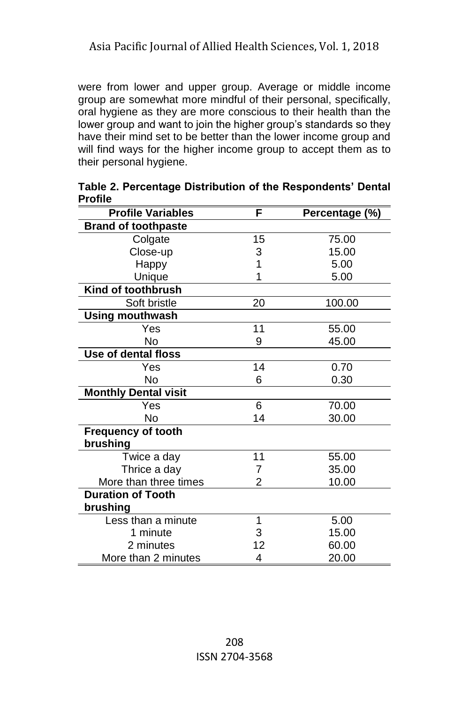were from lower and upper group. Average or middle income group are somewhat more mindful of their personal, specifically, oral hygiene as they are more conscious to their health than the lower group and want to join the higher group's standards so they have their mind set to be better than the lower income group and will find ways for the higher income group to accept them as to their personal hygiene.

| <b>Profile Variables</b>    | F              | Percentage (%) |  |  |
|-----------------------------|----------------|----------------|--|--|
| <b>Brand of toothpaste</b>  |                |                |  |  |
| Colgate                     | 15             | 75.00          |  |  |
| Close-up                    | 3              | 15.00          |  |  |
| Happy                       | 1              | 5.00           |  |  |
| Unique                      | 1              | 5.00           |  |  |
| Kind of toothbrush          |                |                |  |  |
| Soft bristle                | 20             | 100.00         |  |  |
| <b>Using mouthwash</b>      |                |                |  |  |
| Yes                         | 11             | 55.00          |  |  |
| No                          | 9              | 45.00          |  |  |
| Use of dental floss         |                |                |  |  |
| Yes                         | 14             | 0.70           |  |  |
| No                          | 6              | 0.30           |  |  |
| <b>Monthly Dental visit</b> |                |                |  |  |
| Yes                         | 6              | 70.00          |  |  |
| Nο                          | 14             | 30.00          |  |  |
| <b>Frequency of tooth</b>   |                |                |  |  |
| brushing                    |                |                |  |  |
| Twice a day                 | 11             | 55.00          |  |  |
| Thrice a day                | 7              | 35.00          |  |  |
| More than three times       | $\overline{2}$ | 10.00          |  |  |
| <b>Duration of Tooth</b>    |                |                |  |  |
| brushing                    |                |                |  |  |
| Less than a minute          | 1              | 5.00           |  |  |
| 1 minute                    | 3              | 15.00          |  |  |
| 2 minutes                   | 12             | 60.00          |  |  |
| More than 2 minutes         | 4              | 20.00          |  |  |

**Table 2. Percentage Distribution of the Respondents' Dental Profile**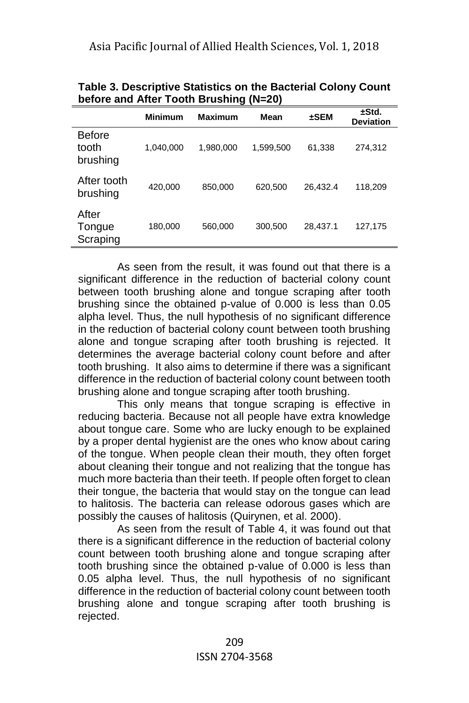| $50000$ and $700000000$<br>$\cdots$ |                |                |           |           |                           |
|-------------------------------------|----------------|----------------|-----------|-----------|---------------------------|
|                                     | <b>Minimum</b> | <b>Maximum</b> | Mean      | $\pm$ SEM | ±Std.<br><b>Deviation</b> |
| <b>Before</b><br>tooth<br>brushing  | 1,040,000      | 1,980,000      | 1,599,500 | 61,338    | 274.312                   |
| After tooth<br>brushing             | 420,000        | 850,000        | 620,500   | 26,432.4  | 118,209                   |
| After<br>Tongue<br>Scraping         | 180,000        | 560,000        | 300,500   | 28,437.1  | 127,175                   |

**Table 3. Descriptive Statistics on the Bacterial Colony Count before and After Tooth Brushing (N=20)**

As seen from the result, it was found out that there is a significant difference in the reduction of bacterial colony count between tooth brushing alone and tongue scraping after tooth brushing since the obtained p-value of 0.000 is less than 0.05 alpha level. Thus, the null hypothesis of no significant difference in the reduction of bacterial colony count between tooth brushing alone and tongue scraping after tooth brushing is rejected. It determines the average bacterial colony count before and after tooth brushing. It also aims to determine if there was a significant difference in the reduction of bacterial colony count between tooth brushing alone and tongue scraping after tooth brushing.

This only means that tongue scraping is effective in reducing bacteria. Because not all people have extra knowledge about tongue care. Some who are lucky enough to be explained by a proper dental hygienist are the ones who know about caring of the tongue. When people clean their mouth, they often forget about cleaning their tongue and not realizing that the tongue has much more bacteria than their teeth. If people often forget to clean their tongue, the bacteria that would stay on the tongue can lead to halitosis. The bacteria can release odorous gases which are possibly the causes of halitosis (Quirynen, et al. 2000).

As seen from the result of Table 4, it was found out that there is a significant difference in the reduction of bacterial colony count between tooth brushing alone and tongue scraping after tooth brushing since the obtained p-value of 0.000 is less than 0.05 alpha level. Thus, the null hypothesis of no significant difference in the reduction of bacterial colony count between tooth brushing alone and tongue scraping after tooth brushing is rejected.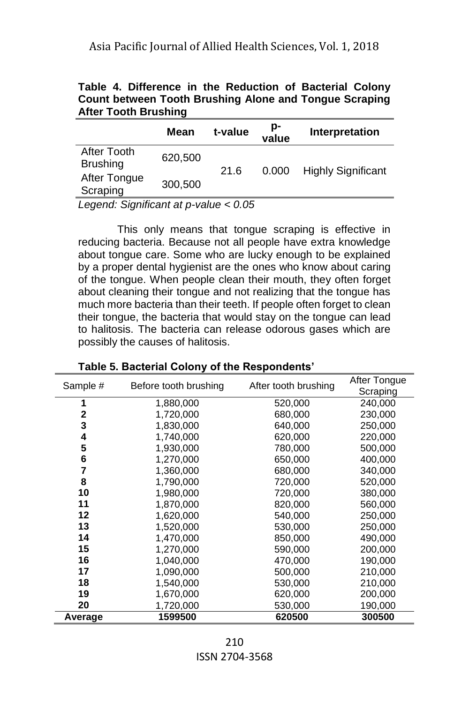| <b>After Tooth Brushing</b>                                   |  |  |  |  |
|---------------------------------------------------------------|--|--|--|--|
| <b>Count between Tooth Brushing Alone and Tongue Scraping</b> |  |  |  |  |
| Table 4. Difference in the Reduction of Bacterial Colony      |  |  |  |  |

|                                | Mean    | t-value | p-<br>value | Interpretation            |
|--------------------------------|---------|---------|-------------|---------------------------|
| After Tooth<br><b>Brushing</b> | 620,500 | 21.6    | 0.000       | <b>Highly Significant</b> |
| After Tongue<br>Scraping       | 300,500 |         |             |                           |

*Legend: Significant at p-value < 0.05*

This only means that tongue scraping is effective in reducing bacteria. Because not all people have extra knowledge about tongue care. Some who are lucky enough to be explained by a proper dental hygienist are the ones who know about caring of the tongue. When people clean their mouth, they often forget about cleaning their tongue and not realizing that the tongue has much more bacteria than their teeth. If people often forget to clean their tongue, the bacteria that would stay on the tongue can lead to halitosis. The bacteria can release odorous gases which are possibly the causes of halitosis.

| Sample # | Before tooth brushing | After tooth brushing | After Tongue |
|----------|-----------------------|----------------------|--------------|
|          |                       |                      | Scraping     |
| 1        | 1,880,000             | 520,000              | 240,000      |
| 2        | 1,720,000             | 680,000              | 230,000      |
| 3        | 1,830,000             | 640.000              | 250.000      |
| 4        | 1,740,000             | 620,000              | 220,000      |
| 5        | 1,930,000             | 780,000              | 500,000      |
| 6        | 1,270,000             | 650,000              | 400,000      |
| 7        | 1,360,000             | 680,000              | 340,000      |
| 8        | 1,790,000             | 720,000              | 520,000      |
| 10       | 1,980,000             | 720,000              | 380,000      |
| 11       | 1,870,000             | 820,000              | 560,000      |
| 12       | 1,620,000             | 540.000              | 250,000      |
| 13       | 1,520,000             | 530,000              | 250,000      |
| 14       | 1,470,000             | 850,000              | 490,000      |
| 15       | 1,270,000             | 590,000              | 200,000      |
| 16       | 1,040,000             | 470,000              | 190,000      |
| 17       | 1,090,000             | 500,000              | 210,000      |
| 18       | 1,540,000             | 530,000              | 210,000      |
| 19       | 1,670,000             | 620,000              | 200,000      |
| 20       | 1,720,000             | 530,000              | 190,000      |
| Average  | 1599500               | 620500               | 300500       |

**Table 5. Bacterial Colony of the Respondents'**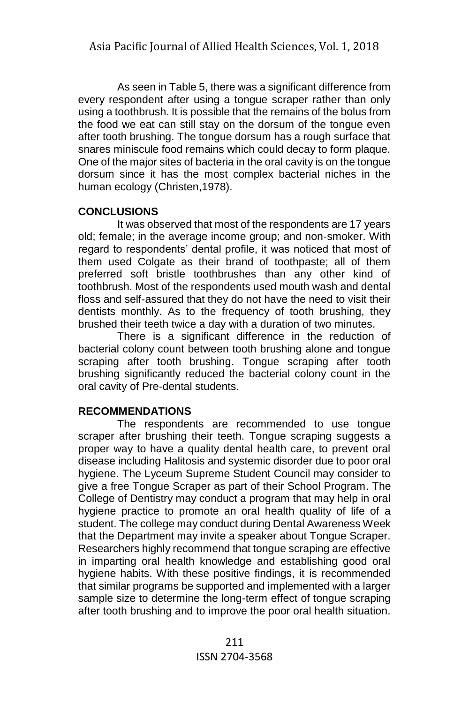As seen in Table 5, there was a significant difference from every respondent after using a tongue scraper rather than only using a toothbrush. It is possible that the remains of the bolus from the food we eat can still stay on the dorsum of the tongue even after tooth brushing. The tongue dorsum has a rough surface that snares miniscule food remains which could decay to form plaque. One of the major sites of bacteria in the oral cavity is on the tongue dorsum since it has the most complex bacterial niches in the human ecology (Christen,1978).

# **CONCLUSIONS**

It was observed that most of the respondents are 17 years old; female; in the average income group; and non-smoker. With regard to respondents' dental profile, it was noticed that most of them used Colgate as their brand of toothpaste; all of them preferred soft bristle toothbrushes than any other kind of toothbrush. Most of the respondents used mouth wash and dental floss and self-assured that they do not have the need to visit their dentists monthly. As to the frequency of tooth brushing, they brushed their teeth twice a day with a duration of two minutes.

There is a significant difference in the reduction of bacterial colony count between tooth brushing alone and tongue scraping after tooth brushing. Tongue scraping after tooth brushing significantly reduced the bacterial colony count in the oral cavity of Pre-dental students.

# **RECOMMENDATIONS**

The respondents are recommended to use tongue scraper after brushing their teeth. Tongue scraping suggests a proper way to have a quality dental health care, to prevent oral disease including Halitosis and systemic disorder due to poor oral hygiene. The Lyceum Supreme Student Council may consider to give a free Tongue Scraper as part of their School Program. The College of Dentistry may conduct a program that may help in oral hygiene practice to promote an oral health quality of life of a student. The college may conduct during Dental Awareness Week that the Department may invite a speaker about Tongue Scraper. Researchers highly recommend that tongue scraping are effective in imparting oral health knowledge and establishing good oral hygiene habits. With these positive findings, it is recommended that similar programs be supported and implemented with a larger sample size to determine the long-term effect of tongue scraping after tooth brushing and to improve the poor oral health situation.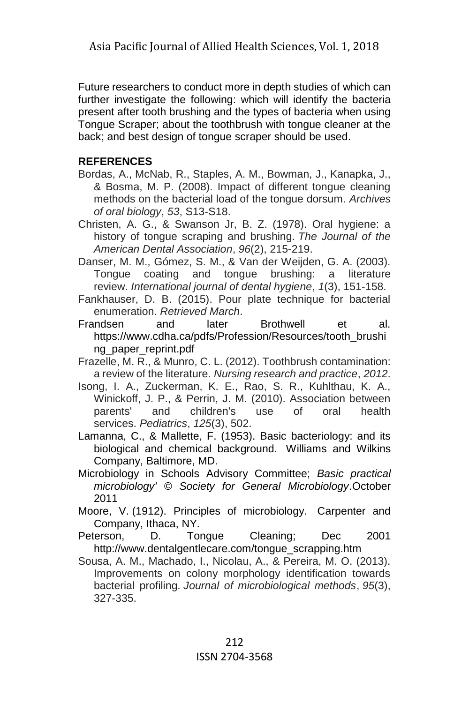Future researchers to conduct more in depth studies of which can further investigate the following: which will identify the bacteria present after tooth brushing and the types of bacteria when using Tongue Scraper; about the toothbrush with tongue cleaner at the back; and best design of tongue scraper should be used.

# **REFERENCES**

- Bordas, A., McNab, R., Staples, A. M., Bowman, J., Kanapka, J., & Bosma, M. P. (2008). Impact of different tongue cleaning methods on the bacterial load of the tongue dorsum. *Archives of oral biology*, *53*, S13-S18.
- Christen, A. G., & Swanson Jr, B. Z. (1978). Oral hygiene: a history of tongue scraping and brushing. *The Journal of the American Dental Association*, *96*(2), 215-219.
- Danser, M. M., Gómez, S. M., & Van der Weijden, G. A. (2003). Tongue coating and tongue brushing: a literature review. *International journal of dental hygiene*, *1*(3), 151-158.
- Fankhauser, D. B. (2015). Pour plate technique for bacterial enumeration. *Retrieved March*.
- Frandsen and later Brothwell et al. [https://www.cdha.ca/pdfs/Profession/Resources/tooth\\_brushi](https://www.cdha.ca/pdfs/Profession/Resources/tooth_brushing_paper_reprint.pdf) ng paper reprint.pdf
- Frazelle, M. R., & Munro, C. L. (2012). Toothbrush contamination: a review of the literature. *Nursing research and practice*, *2012*.
- Isong, I. A., Zuckerman, K. E., Rao, S. R., Kuhlthau, K. A., Winickoff, J. P., & Perrin, J. M. (2010). Association between parents' and children's use of oral health services. *Pediatrics*, *125*(3), 502.
- Lamanna, C., & Mallette, F. (1953). Basic bacteriology: and its biological and chemical background. Williams and Wilkins Company, Baltimore, MD.
- Microbiology in Schools Advisory Committee; *Basic practical microbiology' © Society for General Microbiology*.October 2011
- Moore, V. (1912). Principles of microbiology. Carpenter and Company, Ithaca, NY.
- Peterson, D. Tongue Cleaning; Dec 2001 [http://www.dentalgentlecare.com/tongue\\_scrapping.htm](http://www.dentalgentlecare.com/tongue_scrapping.htm)
- Sousa, A. M., Machado, I., Nicolau, A., & Pereira, M. O. (2013). Improvements on colony morphology identification towards bacterial profiling. *Journal of microbiological methods*, *95*(3), 327-335.